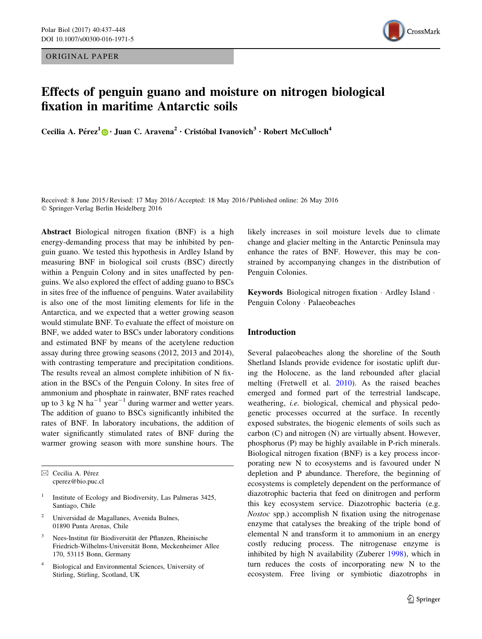ORIGINAL PAPER



# Effects of penguin guano and moisture on nitrogen biological fixation in maritime Antarctic soils

Cecilia A. Pérez<sup>1</sup>  $\odot$  · Juan C. Aravena<sup>2</sup> · Cristóbal Ivanovich<sup>3</sup> · Robert McCulloch<sup>4</sup>

Received: 8 June 2015 / Revised: 17 May 2016 / Accepted: 18 May 2016 / Published online: 26 May 2016 - Springer-Verlag Berlin Heidelberg 2016

Abstract Biological nitrogen fixation (BNF) is a high energy-demanding process that may be inhibited by penguin guano. We tested this hypothesis in Ardley Island by measuring BNF in biological soil crusts (BSC) directly within a Penguin Colony and in sites unaffected by penguins. We also explored the effect of adding guano to BSCs in sites free of the influence of penguins. Water availability is also one of the most limiting elements for life in the Antarctica, and we expected that a wetter growing season would stimulate BNF. To evaluate the effect of moisture on BNF, we added water to BSCs under laboratory conditions and estimated BNF by means of the acetylene reduction assay during three growing seasons (2012, 2013 and 2014), with contrasting temperature and precipitation conditions. The results reveal an almost complete inhibition of N fixation in the BSCs of the Penguin Colony. In sites free of ammonium and phosphate in rainwater, BNF rates reached up to 3 kg N ha<sup>-1</sup> year<sup>-1</sup> during warmer and wetter years. The addition of guano to BSCs significantly inhibited the rates of BNF. In laboratory incubations, the addition of water significantly stimulated rates of BNF during the warmer growing season with more sunshine hours. The

 $\boxtimes$  Cecilia A. Pérez cperez@bio.puc.cl

- <sup>1</sup> Institute of Ecology and Biodiversity, Las Palmeras 3425, Santiago, Chile
- <sup>2</sup> Universidad de Magallanes, Avenida Bulnes, 01890 Punta Arenas, Chile
- Nees-Institut für Biodiversität der Pflanzen, Rheinische Friedrich-Wilhelms-Universität Bonn, Meckenheimer Allee 170, 53115 Bonn, Germany
- <sup>4</sup> Biological and Environmental Sciences, University of Stirling, Stirling, Scotland, UK

likely increases in soil moisture levels due to climate change and glacier melting in the Antarctic Peninsula may enhance the rates of BNF. However, this may be constrained by accompanying changes in the distribution of Penguin Colonies.

Keywords Biological nitrogen fixation - Ardley Island - Penguin Colony - Palaeobeaches

# Introduction

Several palaeobeaches along the shoreline of the South Shetland Islands provide evidence for isostatic uplift during the Holocene, as the land rebounded after glacial melting (Fretwell et al. [2010](#page-10-0)). As the raised beaches emerged and formed part of the terrestrial landscape, weathering, i.e. biological, chemical and physical pedogenetic processes occurred at the surface. In recently exposed substrates, the biogenic elements of soils such as carbon (C) and nitrogen (N) are virtually absent. However, phosphorus (P) may be highly available in P-rich minerals. Biological nitrogen fixation (BNF) is a key process incorporating new N to ecosystems and is favoured under N depletion and P abundance. Therefore, the beginning of ecosystems is completely dependent on the performance of diazotrophic bacteria that feed on dinitrogen and perform this key ecosystem service. Diazotrophic bacteria (e.g. Nostoc spp.) accomplish N fixation using the nitrogenase enzyme that catalyses the breaking of the triple bond of elemental N and transform it to ammonium in an energy costly reducing process. The nitrogenase enzyme is inhibited by high N availability (Zuberer [1998\)](#page-11-0), which in turn reduces the costs of incorporating new N to the ecosystem. Free living or symbiotic diazotrophs in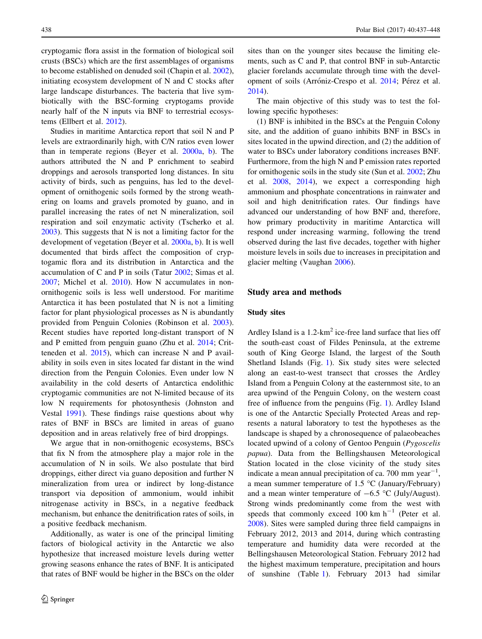cryptogamic flora assist in the formation of biological soil crusts (BSCs) which are the first assemblages of organisms to become established on denuded soil (Chapin et al. [2002](#page-9-0)), initiating ecosystem development of N and C stocks after large landscape disturbances. The bacteria that live symbiotically with the BSC-forming cryptogams provide nearly half of the N inputs via BNF to terrestrial ecosystems (Ellbert et al. [2012\)](#page-10-0).

Studies in maritime Antarctica report that soil N and P levels are extraordinarily high, with C/N ratios even lower than in temperate regions (Beyer et al. [2000a,](#page-9-0) [b\)](#page-9-0). The authors attributed the N and P enrichment to seabird droppings and aerosols transported long distances. In situ activity of birds, such as penguins, has led to the development of ornithogenic soils formed by the strong weathering on loams and gravels promoted by guano, and in parallel increasing the rates of net N mineralization, soil respiration and soil enzymatic activity (Tscherko et al. [2003\)](#page-10-0). This suggests that N is not a limiting factor for the development of vegetation (Beyer et al. [2000a](#page-9-0), [b](#page-9-0)). It is well documented that birds affect the composition of cryptogamic flora and its distribution in Antarctica and the accumulation of C and P in soils (Tatur [2002;](#page-10-0) Simas et al. [2007;](#page-10-0) Michel et al. [2010\)](#page-10-0). How N accumulates in nonornithogenic soils is less well understood. For maritime Antarctica it has been postulated that N is not a limiting factor for plant physiological processes as N is abundantly provided from Penguin Colonies (Robinson et al. [2003](#page-10-0)). Recent studies have reported long-distant transport of N and P emitted from penguin guano (Zhu et al. [2014](#page-11-0); Critteneden et al. [2015](#page-10-0)), which can increase N and P availability in soils even in sites located far distant in the wind direction from the Penguin Colonies. Even under low N availability in the cold deserts of Antarctica endolithic cryptogamic communities are not N-limited because of its low N requirements for photosynthesis (Johnston and Vestal [1991\)](#page-10-0). These findings raise questions about why rates of BNF in BSCs are limited in areas of guano deposition and in areas relatively free of bird droppings.

We argue that in non-ornithogenic ecosystems, BSCs that fix N from the atmosphere play a major role in the accumulation of N in soils. We also postulate that bird droppings, either direct via guano deposition and further N mineralization from urea or indirect by long-distance transport via deposition of ammonium, would inhibit nitrogenase activity in BSCs, in a negative feedback mechanism, but enhance the denitrification rates of soils, in a positive feedback mechanism.

Additionally, as water is one of the principal limiting factors of biological activity in the Antarctic we also hypothesize that increased moisture levels during wetter growing seasons enhance the rates of BNF. It is anticipated that rates of BNF would be higher in the BSCs on the older sites than on the younger sites because the limiting elements, such as C and P, that control BNF in sub-Antarctic glacier forelands accumulate through time with the devel-opment of soils (Arróniz-Crespo et al. [2014](#page-9-0); Pérez et al. [2014](#page-10-0)).

The main objective of this study was to test the following specific hypotheses:

(1) BNF is inhibited in the BSCs at the Penguin Colony site, and the addition of guano inhibits BNF in BSCs in sites located in the upwind direction, and (2) the addition of water to BSCs under laboratory conditions increases BNF. Furthermore, from the high N and P emission rates reported for ornithogenic soils in the study site (Sun et al. [2002;](#page-10-0) Zhu et al. [2008](#page-10-0), [2014](#page-11-0)), we expect a corresponding high ammonium and phosphate concentrations in rainwater and soil and high denitrification rates. Our findings have advanced our understanding of how BNF and, therefore, how primary productivity in maritime Antarctica will respond under increasing warming, following the trend observed during the last five decades, together with higher moisture levels in soils due to increases in precipitation and glacier melting (Vaughan [2006](#page-10-0)).

# Study area and methods

#### Study sites

Ardley Island is a  $1.2 \times m^2$  ice-free land surface that lies off the south-east coast of Fildes Peninsula, at the extreme south of King George Island, the largest of the South Shetland Islands (Fig. [1](#page-2-0)). Six study sites were selected along an east-to-west transect that crosses the Ardley Island from a Penguin Colony at the easternmost site, to an area upwind of the Penguin Colony, on the western coast free of influence from the penguins (Fig. [1](#page-2-0)). Ardley Island is one of the Antarctic Specially Protected Areas and represents a natural laboratory to test the hypotheses as the landscape is shaped by a chronosequence of palaeobeaches located upwind of a colony of Gentoo Penguin (Pygoscelis papua). Data from the Bellingshausen Meteorological Station located in the close vicinity of the study sites indicate a mean annual precipitation of ca. 700 mm  $year^{-1}$ , a mean summer temperature of 1.5  $^{\circ}$ C (January/February) and a mean winter temperature of  $-6.5$  °C (July/August). Strong winds predominantly come from the west with speeds that commonly exceed 100 km  $h^{-1}$  (Peter et al. [2008](#page-10-0)). Sites were sampled during three field campaigns in February 2012, 2013 and 2014, during which contrasting temperature and humidity data were recorded at the Bellingshausen Meteorological Station. February 2012 had the highest maximum temperature, precipitation and hours of sunshine (Table [1\)](#page-2-0). February 2013 had similar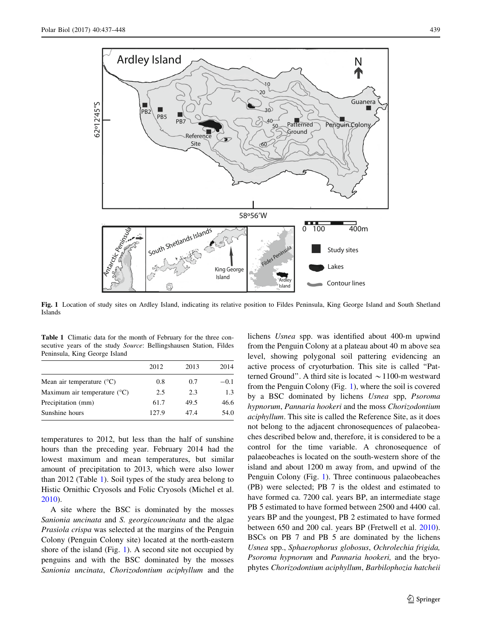<span id="page-2-0"></span>

Fig. 1 Location of study sites on Ardley Island, indicating its relative position to Fildes Peninsula, King George Island and South Shetland Islands

Table 1 Climatic data for the month of February for the three consecutive years of the study *Source*: Bellingshausen Station, Fildes Peninsula, King George Island

|                                       | 2012  | 2013 | 2014   |
|---------------------------------------|-------|------|--------|
| Mean air temperature $(^{\circ}C)$    | 0.8   | 0.7  | $-0.1$ |
| Maximum air temperature $(^{\circ}C)$ | 2.5   | 2.3  | 1.3    |
| Precipitation (mm)                    | 61.7  | 49.5 | 46.6   |
| Sunshine hours                        | 127.9 | 47.4 | 54.0   |

temperatures to 2012, but less than the half of sunshine hours than the preceding year. February 2014 had the lowest maximum and mean temperatures, but similar amount of precipitation to 2013, which were also lower than 2012 (Table 1). Soil types of the study area belong to Histic Ornithic Cryosols and Folic Cryosols (Michel et al. [2010\)](#page-10-0).

A site where the BSC is dominated by the mosses Sanionia uncinata and S. georgicouncinata and the algae Prasiola crispa was selected at the margins of the Penguin Colony (Penguin Colony site) located at the north-eastern shore of the island (Fig. 1). A second site not occupied by penguins and with the BSC dominated by the mosses Sanionia uncinata, Chorizodontium aciphyllum and the lichens Usnea spp. was identified about 400-m upwind from the Penguin Colony at a plateau about 40 m above sea level, showing polygonal soil pattering evidencing an active process of cryoturbation. This site is called ''Patterned Ground". A third site is located  $\sim$  1100-m westward from the Penguin Colony (Fig. 1), where the soil is covered by a BSC dominated by lichens Usnea spp, Psoroma hypnorum, Pannaria hookeri and the moss Chorizodontium aciphyllum. This site is called the Reference Site, as it does not belong to the adjacent chronosequences of palaeobeaches described below and, therefore, it is considered to be a control for the time variable. A chronosequence of palaeobeaches is located on the south-western shore of the island and about 1200 m away from, and upwind of the Penguin Colony (Fig. 1). Three continuous palaeobeaches (PB) were selected; PB 7 is the oldest and estimated to have formed ca. 7200 cal. years BP, an intermediate stage PB 5 estimated to have formed between 2500 and 4400 cal. years BP and the youngest, PB 2 estimated to have formed between 650 and 200 cal. years BP (Fretwell et al. [2010](#page-10-0)). BSCs on PB 7 and PB 5 are dominated by the lichens Usnea spp., Sphaerophorus globosus, Ochrolechia frigida, Psoroma hypnorum and Pannaria hookeri, and the bryophytes Chorizodontium aciphyllum, Barbilophozia hatcheii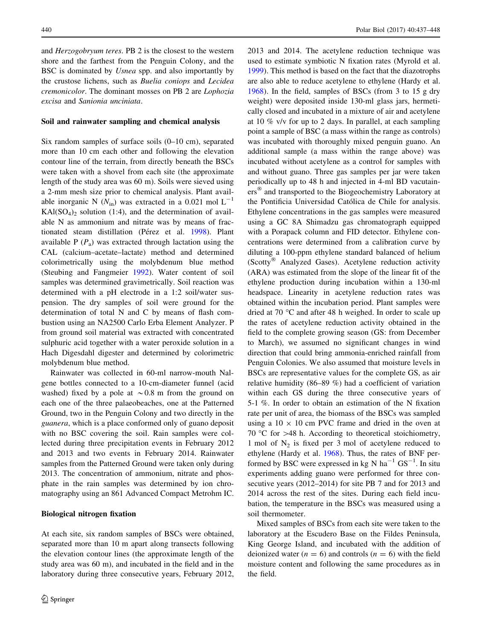and Herzogobryum teres. PB 2 is the closest to the western shore and the farthest from the Penguin Colony, and the BSC is dominated by Usnea spp. and also importantly by the crustose lichens, such as Buelia coniops and Lecidea cremonicolor. The dominant mosses on PB 2 are Lophozia excisa and Sanionia unciniata.

# Soil and rainwater sampling and chemical analysis

Six random samples of surface soils (0–10 cm), separated more than 10 cm each other and following the elevation contour line of the terrain, from directly beneath the BSCs were taken with a shovel from each site (the approximate length of the study area was 60 m). Soils were sieved using a 2-mm mesh size prior to chemical analysis. Plant available inorganic N ( $N_{\text{in}}$ ) was extracted in a 0.021 mol  $L^{-1}$  $KAI(SO<sub>4</sub>)<sub>2</sub>$  solution (1:4), and the determination of available N as ammonium and nitrate was by means of frac-tionated steam distillation (Pérez et al. [1998\)](#page-10-0). Plant available P  $(P_a)$  was extracted through lactation using the CAL (calcium–acetate–lactate) method and determined colorimetrically using the molybdenum blue method (Steubing and Fangmeier [1992](#page-10-0)). Water content of soil samples was determined gravimetrically. Soil reaction was determined with a pH electrode in a 1:2 soil/water suspension. The dry samples of soil were ground for the determination of total N and C by means of flash combustion using an NA2500 Carlo Erba Element Analyzer. P from ground soil material was extracted with concentrated sulphuric acid together with a water peroxide solution in a Hach Digesdahl digester and determined by colorimetric molybdenum blue method.

Rainwater was collected in 60-ml narrow-mouth Nalgene bottles connected to a 10-cm-diameter funnel (acid washed) fixed by a pole at  $\sim 0.8$  m from the ground on each one of the three palaeobeaches, one at the Patterned Ground, two in the Penguin Colony and two directly in the guanera, which is a place conformed only of guano deposit with no BSC covering the soil. Rain samples were collected during three precipitation events in February 2012 and 2013 and two events in February 2014. Rainwater samples from the Patterned Ground were taken only during 2013. The concentration of ammonium, nitrate and phosphate in the rain samples was determined by ion chromatography using an 861 Advanced Compact Metrohm IC.

#### Biological nitrogen fixation

At each site, six random samples of BSCs were obtained, separated more than 10 m apart along transects following the elevation contour lines (the approximate length of the study area was 60 m), and incubated in the field and in the laboratory during three consecutive years, February 2012,

2013 and 2014. The acetylene reduction technique was used to estimate symbiotic N fixation rates (Myrold et al. [1999](#page-10-0)). This method is based on the fact that the diazotrophs are also able to reduce acetylene to ethylene (Hardy et al. [1968](#page-10-0)). In the field, samples of BSCs (from 3 to 15 g dry weight) were deposited inside 130-ml glass jars, hermetically closed and incubated in a mixture of air and acetylene at 10 % v/v for up to 2 days. In parallel, at each sampling point a sample of BSC (a mass within the range as controls) was incubated with thoroughly mixed penguin guano. An additional sample (a mass within the range above) was incubated without acetylene as a control for samples with and without guano. Three gas samples per jar were taken periodically up to 48 h and injected in 4-ml BD vacutainers<sup>®</sup> and transported to the Biogeochemistry Laboratory at the Pontificia Universidad Católica de Chile for analysis. Ethylene concentrations in the gas samples were measured using a GC 8A Shimadzu gas chromatograph equipped with a Porapack column and FID detector. Ethylene concentrations were determined from a calibration curve by diluting a 100-ppm ethylene standard balanced of helium (Scotty<sup>®</sup> Analyzed Gases). Acetylene reduction activity (ARA) was estimated from the slope of the linear fit of the ethylene production during incubation within a 130-ml headspace. Linearity in acetylene reduction rates was obtained within the incubation period. Plant samples were dried at 70  $\degree$ C and after 48 h weighed. In order to scale up the rates of acetylene reduction activity obtained in the field to the complete growing season (GS: from December to March), we assumed no significant changes in wind direction that could bring ammonia-enriched rainfall from Penguin Colonies. We also assumed that moisture levels in BSCs are representative values for the complete GS, as air relative humidity (86–89 %) had a coefficient of variation within each GS during the three consecutive years of 5-1 %. In order to obtain an estimation of the N fixation rate per unit of area, the biomass of the BSCs was sampled using a  $10 \times 10$  cm PVC frame and dried in the oven at 70 °C for  $>48$  h. According to theoretical stoichiometry, 1 mol of  $N_2$  is fixed per 3 mol of acetylene reduced to ethylene (Hardy et al. [1968\)](#page-10-0). Thus, the rates of BNF performed by BSC were expressed in kg N  $ha^{-1}$   $GS^{-1}$ . In situ experiments adding guano were performed for three consecutive years (2012–2014) for site PB 7 and for 2013 and 2014 across the rest of the sites. During each field incubation, the temperature in the BSCs was measured using a soil thermometer.

Mixed samples of BSCs from each site were taken to the laboratory at the Escudero Base on the Fildes Peninsula, King George Island, and incubated with the addition of deionized water ( $n = 6$ ) and controls ( $n = 6$ ) with the field moisture content and following the same procedures as in the field.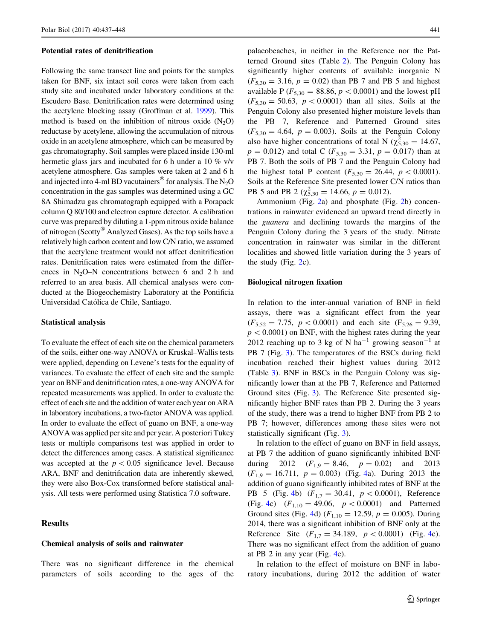#### Potential rates of denitrification

Following the same transect line and points for the samples taken for BNF, six intact soil cores were taken from each study site and incubated under laboratory conditions at the Escudero Base. Denitrification rates were determined using the acetylene blocking assay (Groffman et al. [1999\)](#page-10-0). This method is based on the inhibition of nitrous oxide  $(N_2O)$ reductase by acetylene, allowing the accumulation of nitrous oxide in an acetylene atmosphere, which can be measured by gas chromatography. Soil samples were placed inside 130-ml hermetic glass jars and incubated for 6 h under a 10 % v/v acetylene atmosphere. Gas samples were taken at 2 and 6 h and injected into 4-ml BD vacutainers<sup>®</sup> for analysis. The N<sub>2</sub>O concentration in the gas samples was determined using a GC 8A Shimadzu gas chromatograph equipped with a Porapack column Q 80/100 and electron capture detector. A calibration curve was prepared by diluting a 1-ppm nitrous oxide balance of nitrogen (Scotty<sup>®</sup> Analyzed Gases). As the top soils have a relatively high carbon content and low C/N ratio, we assumed that the acetylene treatment would not affect denitrification rates. Denitrification rates were estimated from the differences in N<sub>2</sub>O–N concentrations between 6 and 2 h and referred to an area basis. All chemical analyses were conducted at the Biogeochemistry Laboratory at the Pontificia Universidad Católica de Chile, Santiago.

#### Statistical analysis

To evaluate the effect of each site on the chemical parameters of the soils, either one-way ANOVA or Kruskal–Wallis tests were applied, depending on Levene's tests for the equality of variances. To evaluate the effect of each site and the sample year on BNF and denitrification rates, a one-way ANOVA for repeated measurements was applied. In order to evaluate the effect of each site and the addition of water each year on ARA in laboratory incubations, a two-factor ANOVA was applied. In order to evaluate the effect of guano on BNF, a one-way ANOVA was applied per site and per year. A posteriori Tukey tests or multiple comparisons test was applied in order to detect the differences among cases. A statistical significance was accepted at the  $p < 0.05$  significance level. Because ARA, BNF and denitrification data are inherently skewed, they were also Box-Cox transformed before statistical analysis. All tests were performed using Statistica 7.0 software.

## Results

# Chemical analysis of soils and rainwater

There was no significant difference in the chemical parameters of soils according to the ages of the palaeobeaches, in neither in the Reference nor the Patterned Ground sites (Table [2](#page-5-0)). The Penguin Colony has significantly higher contents of available inorganic N  $(F_{5,30} = 3.16, p = 0.02)$  than PB 7 and PB 5 and highest available P ( $F_{5,30} = 88.86$ ,  $p < 0.0001$ ) and the lowest pH  $(F_{5,30} = 50.63, p < 0.0001)$  than all sites. Soils at the Penguin Colony also presented higher moisture levels than the PB 7, Reference and Patterned Ground sites  $(F_{5,30} = 4.64, p = 0.003)$ . Soils at the Penguin Colony also have higher concentrations of total N ( $\chi_{5,30}^2 = 14.67$ ,  $p = 0.012$ ) and total C ( $F_{5,30} = 3.31$ ,  $p = 0.017$ ) than at PB 7. Both the soils of PB 7 and the Penguin Colony had the highest total P content ( $F_{5,30} = 26.44$ ,  $p < 0.0001$ ). Soils at the Reference Site presented lower C/N ratios than PB 5 and PB 2 ( $\chi^{2}_{5,30} = 14.66$ ,  $p = 0.012$ ).

Ammonium (Fig. [2](#page-5-0)a) and phosphate (Fig. [2](#page-5-0)b) concentrations in rainwater evidenced an upward trend directly in the guanera and declining towards the margins of the Penguin Colony during the 3 years of the study. Nitrate concentration in rainwater was similar in the different localities and showed little variation during the 3 years of the study (Fig. [2](#page-5-0)c).

#### Biological nitrogen fixation

In relation to the inter-annual variation of BNF in field assays, there was a significant effect from the year  $(F_{5,52} = 7.75, p < 0.0001)$  and each site  $(F_{5,26} = 9.39,$  $p<0.0001$ ) on BNF, with the highest rates during the year 2012 reaching up to 3 kg of N ha<sup>-1</sup> growing season<sup>-1</sup> at PB 7 (Fig. [3](#page-6-0)). The temperatures of the BSCs during field incubation reached their highest values during 2012 (Table [3\)](#page-6-0). BNF in BSCs in the Penguin Colony was significantly lower than at the PB 7, Reference and Patterned Ground sites (Fig. [3\)](#page-6-0). The Reference Site presented significantly higher BNF rates than PB 2. During the 3 years of the study, there was a trend to higher BNF from PB 2 to PB 7; however, differences among these sites were not statistically significant (Fig. [3\)](#page-6-0).

In relation to the effect of guano on BNF in field assays, at PB 7 the addition of guano significantly inhibited BNF during 2012  $(F_{1,9} = 8.46, p = 0.02)$  and 2013  $(F_{1,9} = 16.711, p = 0.003)$  (Fig. [4](#page-7-0)a). During 2013 the addition of guano significantly inhibited rates of BNF at the PB 5 (Fig. [4b](#page-7-0))  $(F_{1,7} = 30.41, p < 0.0001)$ , Reference (Fig. [4c](#page-7-0))  $(F_{1,10} = 49.06, p < 0.0001)$  and Patterned Ground sites (Fig. [4](#page-7-0)d) ( $F_{1,10} = 12.59$ ,  $p = 0.005$ ). During 2014, there was a significant inhibition of BNF only at the Reference Site  $(F_{1,7} = 34.189, p < 0.0001)$  (Fig. [4c](#page-7-0)). There was no significant effect from the addition of guano at PB 2 in any year (Fig. [4](#page-7-0)e).

In relation to the effect of moisture on BNF in laboratory incubations, during 2012 the addition of water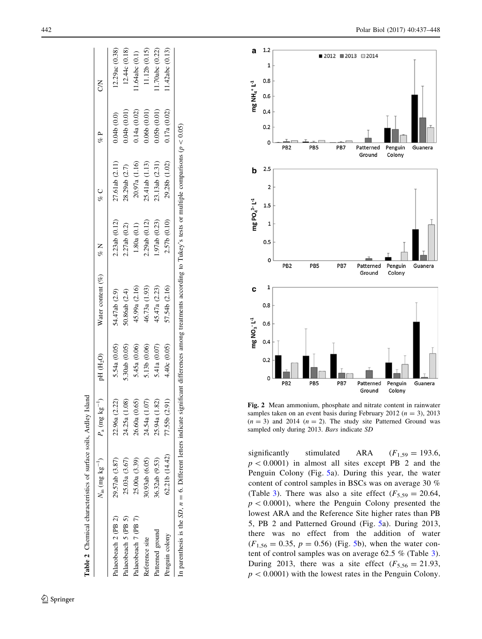<span id="page-5-0"></span>

| Table 2 Chemical characteristics of surface soils, Ardley                                                                                                                 |                                     | Island                             |               |                          |               |                |              |                |
|---------------------------------------------------------------------------------------------------------------------------------------------------------------------------|-------------------------------------|------------------------------------|---------------|--------------------------|---------------|----------------|--------------|----------------|
|                                                                                                                                                                           | $N_{\rm in}$ (mg kg <sup>-1</sup> ) | $P_{\rm a}$ (mg kg <sup>-1</sup> ) | pH $(H2O)$    | Water content $(\%)$ % N |               | o<br>Vo        | of P         | ξ              |
| Palaeobeach 2 (PB 2)                                                                                                                                                      | 29.57ab (3.87)                      | 22.96a (2.22)                      | 5.54a (0.05)  | 54.47ab (2.9)            | 2.23ab(0.12)  | 27.61ab (2.11) | 0.04b(0.0)   | 12.29ac(0.38)  |
| Palaeobeach 5 (PB 5)                                                                                                                                                      | 25.03a (3.67)                       | 1.08<br>24.25a (1                  | 5.30ab (0.05) | 60.86ab (2.4)            | 2.27ab (0.2)  | 28.29ab (2.7)  | 0.04b(0.01)  | 12.44c(0.18)   |
| Palaeobeach 7 (PB 7)                                                                                                                                                      | 25.00a(3.39)                        | 0.65<br>26.60a (                   | 5.45a (0.06)  | 45.99a (2.16)            | 1.80a(0.1)    | 20.97a (1.16)  | 0.14a (0.02) | 1.64abc(0.1)   |
| Reference site                                                                                                                                                            | 30.93ab (6.05)                      | $\Xi$<br>24.54a (1                 | 5.13b (0.06)  | 46.73a (1.93)            | 2.29ab(0.12)  | 25.41ab (1.13) | 0.066(0.01)  | 1.12b(0.15)    |
| Patterned ground                                                                                                                                                          | 36.32ab (9.53)                      | 25.94a (1.82)                      | 5.41a (0.07)  | 45.47a (2.23)            | 1.97ab (0.23) | 23.13ab (2.31) | 0.05b(0.01)  | 1.70abc (0.22) |
| Penguin colony                                                                                                                                                            | 62.21b (14.42)                      | 77.55b (2.91)                      | 4.40c(0.05)   | 57.54b (2.16)            | 2.57b (0.10)  | 29.28b (1.02)  | 0.17a (0.02) | 1.42abc(0.13)  |
| In parenthesis is the SD, $n = 6$ . Different letters indicate significant differences among treatments according to Tukey's tests or multiple comparisons ( $p < 0.05$ ) |                                     |                                    |               |                          |               |                |              |                |



Fig. 2 Mean ammonium, phosphate and nitrate content in rainwater samples taken on an event basis during February 2012 ( $n = 3$ ), 2013  $(n = 3)$  and 2014  $(n = 2)$ . The study site Patterned Ground was sampled only during 2013. Bars indicate SD

significantly stimulated ARA  $F_{1,59} = 193.6$ ,  $p < 0.0001$ ) in almost all sites except PB 2 and the Penguin Colony (Fig. [5a](#page-7-0)). During this year, the water content of control samples in BSCs was on average 30 % (Table [3](#page-6-0)). There was also a site effect  $(F_{5,59} = 20.64,$  $p < 0.0001$ ), where the Penguin Colony presented the lowest ARA and the Reference Site higher rates than PB 5, PB 2 and Patterned Ground (Fig. [5a](#page-7-0)). During 2013, there was no effect from the addition of water  $(F_{1,56} = 0.35, p = 0.56)$  (Fig. [5b](#page-7-0)), when the water content of control samples was on average 62.5 % (Table [3](#page-6-0)). During 2013, there was a site effect  $(F_{5,56} = 21.93,$  $p < 0.0001$ ) with the lowest rates in the Penguin Colony.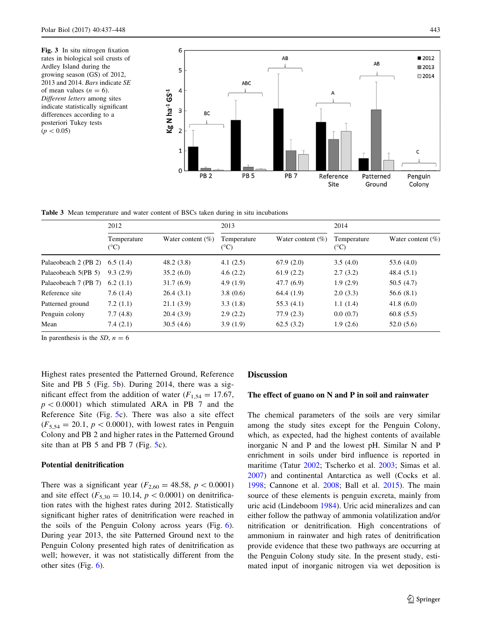<span id="page-6-0"></span>



Table 3 Mean temperature and water content of BSCs taken during in situ incubations

|                                  | 2012                |                       | 2013                |                       | 2014                         |                       |
|----------------------------------|---------------------|-----------------------|---------------------|-----------------------|------------------------------|-----------------------|
|                                  | Temperature<br>(°C) | Water content $(\% )$ | Temperature<br>(°C) | Water content $(\% )$ | Temperature<br>$(^{\circ}C)$ | Water content $(\% )$ |
| Palaeobeach 2 (PB 2) $6.5$ (1.4) |                     | 48.2(3.8)             | 4.1(2.5)            | 67.9(2.0)             | 3.5(4.0)                     | 53.6 $(4.0)$          |
| Palaeobeach 5(PB 5)              | 9.3(2.9)            | 35.2(6.0)             | 4.6(2.2)            | 61.9(2.2)             | 2.7(3.2)                     | 48.4(5.1)             |
| Palaeobeach 7 (PB 7)             | 6.2(1.1)            | 31.7(6.9)             | 4.9(1.9)            | 47.7(6.9)             | 1.9(2.9)                     | 50.5(4.7)             |
| Reference site                   | 7.6(1.4)            | 26.4(3.1)             | 3.8(0.6)            | 64.4 (1.9)            | 2.0(3.3)                     | 56.6(8.1)             |
| Patterned ground                 | 7.2(1.1)            | 21.1(3.9)             | 3.3(1.8)            | 55.3(4.1)             | 1.1(1.4)                     | 41.8 $(6.0)$          |
| Penguin colony                   | 7.7(4.8)            | 20.4(3.9)             | 2.9(2.2)            | 77.9(2.3)             | 0.0(0.7)                     | 60.8(5.5)             |
| Mean                             | 7.4(2.1)            | 30.5(4.6)             | 3.9(1.9)            | 62.5(3.2)             | 1.9(2.6)                     | 52.0(5.6)             |

In parenthesis is the  $SD$ ,  $n = 6$ 

Highest rates presented the Patterned Ground, Reference Site and PB 5 (Fig. [5](#page-7-0)b). During 2014, there was a significant effect from the addition of water ( $F_{1,54} = 17.67$ ,  $p \lt 0.0001$ ) which stimulated ARA in PB 7 and the Reference Site (Fig. [5](#page-7-0)c). There was also a site effect  $(F_{5,54} = 20.1, p < 0.0001)$ , with lowest rates in Penguin Colony and PB 2 and higher rates in the Patterned Ground site than at PB [5](#page-7-0) and PB 7 (Fig. 5c).

### Potential denitrification

There was a significant year ( $F_{2,60} = 48.58$ ,  $p < 0.0001$ ) and site effect ( $F_{5,30} = 10.14$ ,  $p < 0.0001$ ) on denitrification rates with the highest rates during 2012. Statistically significant higher rates of denitrification were reached in the soils of the Penguin Colony across years (Fig. [6](#page-8-0)). During year 2013, the site Patterned Ground next to the Penguin Colony presented high rates of denitrification as well; however, it was not statistically different from the other sites (Fig. [6](#page-8-0)).

#### Discussion

#### The effect of guano on N and P in soil and rainwater

The chemical parameters of the soils are very similar among the study sites except for the Penguin Colony, which, as expected, had the highest contents of available inorganic N and P and the lowest pH. Similar N and P enrichment in soils under bird influence is reported in maritime (Tatur [2002](#page-10-0); Tscherko et al. [2003](#page-10-0); Simas et al. [2007](#page-10-0)) and continental Antarctica as well (Cocks et al. [1998](#page-9-0); Cannone et al. [2008](#page-9-0); Ball et al. [2015\)](#page-9-0). The main source of these elements is penguin excreta, mainly from uric acid (Lindeboom [1984\)](#page-10-0). Uric acid mineralizes and can either follow the pathway of ammonia volatilization and/or nitrification or denitrification. High concentrations of ammonium in rainwater and high rates of denitrification provide evidence that these two pathways are occurring at the Penguin Colony study site. In the present study, estimated input of inorganic nitrogen via wet deposition is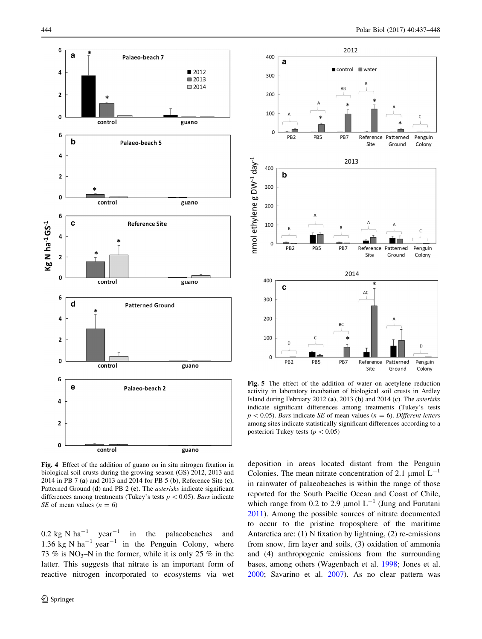<span id="page-7-0"></span>



Fig. 4 Effect of the addition of guano on in situ nitrogen fixation in biological soil crusts during the growing season (GS) 2012, 2013 and 2014 in PB 7 (a) and 2013 and 2014 for PB 5 (b), Reference Site (c), Patterned Ground (d) and PB 2 (e). The *asterisks* indicate significant differences among treatments (Tukey's tests  $p < 0.05$ ). Bars indicate SE of mean values  $(n = 6)$ 

0.2 kg N ha<sup>-1</sup> year<sup>-1</sup> in the palaeobeaches and 1.36 kg N ha<sup>-1</sup> year<sup>-1</sup> in the Penguin Colony, where 73 % is  $NO_3$ -N in the former, while it is only 25 % in the latter. This suggests that nitrate is an important form of reactive nitrogen incorporated to ecosystems via wet



Fig. 5 The effect of the addition of water on acetylene reduction activity in laboratory incubation of biological soil crusts in Ardley Island during February 2012 (a), 2013 (b) and 2014 (c). The asterisks indicate significant differences among treatments (Tukey's tests  $p < 0.05$ ). Bars indicate SE of mean values (n = 6). Different letters among sites indicate statistically significant differences according to a posteriori Tukey tests ( $p < 0.05$ )

deposition in areas located distant from the Penguin Colonies. The mean nitrate concentration of 2.1  $\mu$ mol L<sup>-1</sup> in rainwater of palaeobeaches is within the range of those reported for the South Pacific Ocean and Coast of Chile, which range from 0.2 to 2.9  $\mu$ mol L<sup>-1</sup> (Jung and Furutani [2011](#page-10-0)). Among the possible sources of nitrate documented to occur to the pristine troposphere of the maritime Antarctica are: (1) N fixation by lightning, (2) re-emissions from snow, firn layer and soils, (3) oxidation of ammonia and (4) anthropogenic emissions from the surrounding bases, among others (Wagenbach et al. [1998](#page-10-0); Jones et al. [2000](#page-10-0); Savarino et al. [2007](#page-10-0)). As no clear pattern was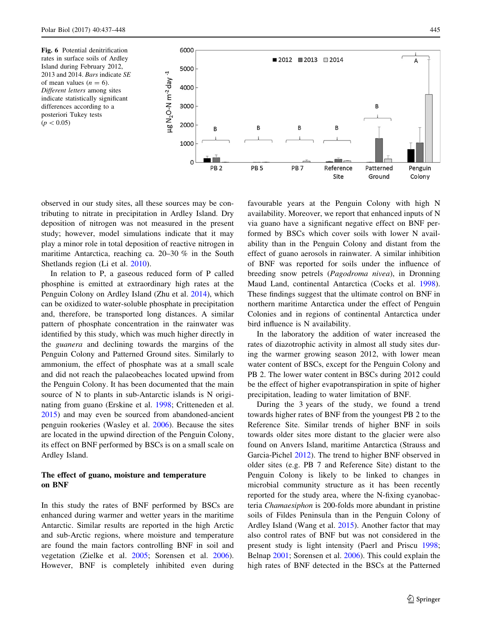<span id="page-8-0"></span>

observed in our study sites, all these sources may be contributing to nitrate in precipitation in Ardley Island. Dry deposition of nitrogen was not measured in the present study; however, model simulations indicate that it may play a minor role in total deposition of reactive nitrogen in maritime Antarctica, reaching ca. 20–30 % in the South Shetlands region (Li et al. [2010](#page-10-0)).

In relation to P, a gaseous reduced form of P called phosphine is emitted at extraordinary high rates at the Penguin Colony on Ardley Island (Zhu et al. [2014\)](#page-11-0), which can be oxidized to water-soluble phosphate in precipitation and, therefore, be transported long distances. A similar pattern of phosphate concentration in the rainwater was identified by this study, which was much higher directly in the guanera and declining towards the margins of the Penguin Colony and Patterned Ground sites. Similarly to ammonium, the effect of phosphate was at a small scale and did not reach the palaeobeaches located upwind from the Penguin Colony. It has been documented that the main source of N to plants in sub-Antarctic islands is N originating from guano (Erskine et al. [1998;](#page-10-0) Critteneden et al. [2015\)](#page-10-0) and may even be sourced from abandoned-ancient penguin rookeries (Wasley et al. [2006](#page-10-0)). Because the sites are located in the upwind direction of the Penguin Colony, its effect on BNF performed by BSCs is on a small scale on Ardley Island.

# The effect of guano, moisture and temperature on BNF

In this study the rates of BNF performed by BSCs are enhanced during warmer and wetter years in the maritime Antarctic. Similar results are reported in the high Arctic and sub-Arctic regions, where moisture and temperature are found the main factors controlling BNF in soil and vegetation (Zielke et al. [2005;](#page-11-0) Sorensen et al. [2006](#page-10-0)). However, BNF is completely inhibited even during favourable years at the Penguin Colony with high N availability. Moreover, we report that enhanced inputs of N via guano have a significant negative effect on BNF performed by BSCs which cover soils with lower N availability than in the Penguin Colony and distant from the effect of guano aerosols in rainwater. A similar inhibition of BNF was reported for soils under the influence of breeding snow petrels (Pagodroma nivea), in Dronning Maud Land, continental Antarctica (Cocks et al. [1998](#page-9-0)). These findings suggest that the ultimate control on BNF in northern maritime Antarctica under the effect of Penguin Colonies and in regions of continental Antarctica under bird influence is N availability.

In the laboratory the addition of water increased the rates of diazotrophic activity in almost all study sites during the warmer growing season 2012, with lower mean water content of BSCs, except for the Penguin Colony and PB 2. The lower water content in BSCs during 2012 could be the effect of higher evapotranspiration in spite of higher precipitation, leading to water limitation of BNF.

During the 3 years of the study, we found a trend towards higher rates of BNF from the youngest PB 2 to the Reference Site. Similar trends of higher BNF in soils towards older sites more distant to the glacier were also found on Anvers Island, maritime Antarctica (Strauss and Garcia-Pichel [2012](#page-10-0)). The trend to higher BNF observed in older sites (e.g. PB 7 and Reference Site) distant to the Penguin Colony is likely to be linked to changes in microbial community structure as it has been recently reported for the study area, where the N-fixing cyanobacteria Chamaesiphon is 200-folds more abundant in pristine soils of Fildes Peninsula than in the Penguin Colony of Ardley Island (Wang et al. [2015\)](#page-10-0). Another factor that may also control rates of BNF but was not considered in the present study is light intensity (Paerl and Priscu [1998](#page-10-0); Belnap [2001](#page-9-0); Sorensen et al. [2006](#page-10-0)). This could explain the high rates of BNF detected in the BSCs at the Patterned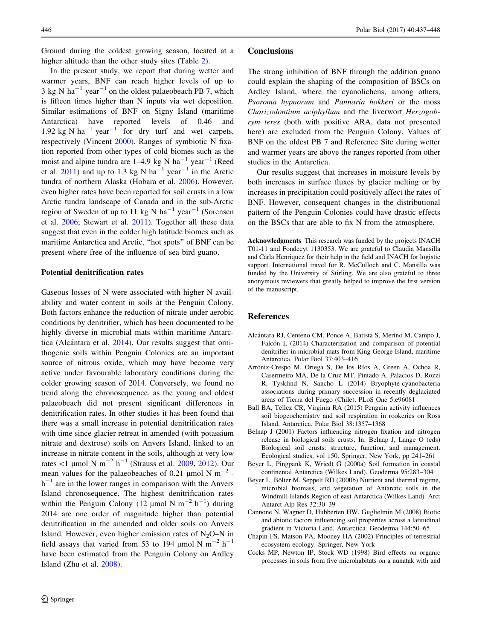<span id="page-9-0"></span>Ground during the coldest growing season, located at a higher altitude than the other study sites (Table [2\)](#page-5-0).

In the present study, we report that during wetter and warmer years, BNF can reach higher levels of up to 3 kg N ha<sup>-1</sup> year<sup>-1</sup> on the oldest palaeobeach PB 7, which is fifteen times higher than N inputs via wet deposition. Similar estimations of BNF on Signy Island (maritime Antarctica) have reported levels of 0.46 and 1.92 kg N ha<sup>-1</sup> year<sup>-1</sup> for dry turf and wet carpets, respectively (Vincent [2000\)](#page-10-0). Ranges of symbiotic N fixation reported from other types of cold biomes such as the moist and alpine tundra are  $1-4.9$  kg N ha<sup>-1</sup> year<sup>-1</sup> (Reed et al. [2011](#page-10-0)) and up to 1.3 kg N ha<sup>-1</sup> year<sup>-1</sup> in the Arctic tundra of northern Alaska (Hobara et al. [2006\)](#page-10-0). However, even higher rates have been reported for soil crusts in a low Arctic tundra landscape of Canada and in the sub-Arctic region of Sweden of up to 11 kg N ha<sup>-1</sup> year<sup>-1</sup> (Sorensen et al. [2006](#page-10-0); Stewart et al. [2011](#page-10-0)). Together all these data suggest that even in the colder high latitude biomes such as maritime Antarctica and Arctic, ''hot spots'' of BNF can be present where free of the influence of sea bird guano.

## Potential denitrification rates

Gaseous losses of N were associated with higher N availability and water content in soils at the Penguin Colony. Both factors enhance the reduction of nitrate under aerobic conditions by denitrifier, which has been documented to be highly diverse in microbial mats within maritime Antarctica (Alcántara et al.  $2014$ ). Our results suggest that ornithogenic soils within Penguin Colonies are an important source of nitrous oxide, which may have become very active under favourable laboratory conditions during the colder growing season of 2014. Conversely, we found no trend along the chronosequence, as the young and oldest palaeobeach did not present significant differences in denitrification rates. In other studies it has been found that there was a small increase in potential denitrification rates with time since glacier retreat in amended (with potassium nitrate and dextrose) soils on Anvers Island, linked to an increase in nitrate content in the soils, although at very low rates  $\lt 1$  µmol N m<sup>-2</sup> h<sup>-1</sup> (Strauss et al. [2009](#page-10-0), [2012\)](#page-10-0). Our mean values for the palaeobeaches of 0.21  $\mu$ mol N m<sup>-2</sup>  $h^{-1}$  are in the lower ranges in comparison with the Anvers Island chronosequence. The highest denitrification rates within the Penguin Colony (12  $\mu$ mol N m<sup>-2</sup> h<sup>-1</sup>) during 2014 are one order of magnitude higher than potential denitrification in the amended and older soils on Anvers Island. However, even higher emission rates of  $N_2O-N$  in field assays that varied from 53 to 194  $\mu$ mol N m<sup>-2</sup> h<sup>-1</sup> have been estimated from the Penguin Colony on Ardley Island (Zhu et al. [2008](#page-10-0)).

#### **Conclusions**

The strong inhibition of BNF through the addition guano could explain the shaping of the composition of BSCs on Ardley Island, where the cyanolichens, among others, Psoroma hypnorum and Pannaria hokkeri or the moss Chorizodontium aciphyllum and the liverwort Herzogobrym teres (both with positive ARA, data not presented here) are excluded from the Penguin Colony. Values of BNF on the oldest PB 7 and Reference Site during wetter and warmer years are above the ranges reported from other studies in the Antarctica.

Our results suggest that increases in moisture levels by both increases in surface fluxes by glacier melting or by increases in precipitation could positively affect the rates of BNF. However, consequent changes in the distributional pattern of the Penguin Colonies could have drastic effects on the BSCs that are able to fix N from the atmosphere.

Acknowledgments This research was funded by the projects INACH T01-11 and Fondecyt 1130353. We are grateful to Claudia Mansilla and Carla Henriquez for their help in the field and INACH for logistic support. International travel for R. McCulloch and C. Mansilla was funded by the University of Stirling. We are also grateful to three anonymous reviewers that greatly helped to improve the first version of the manuscript.

## References

- Alcántara RJ, Centeno CM, Ponce A, Batista S, Merino M, Campo J, Falcón L (2014) Characterization and comparison of potential denitrifier in microbial mats from King George Island, maritime Antarctica. Polar Biol 37:403–416
- Arróniz-Crespo M, Ortega S, De los Ríos A, Green A, Ochoa R, Casermeiro MA, De la Cruz MT, Pintado A, Palacios D, Rozzi R, Tysklind N, Sancho L (2014) Bryophyte-cyanobacteria associations during primary succession in recently deglaciated areas of Tierra del Fuego (Chile). PLoS One 5:e96081
- Ball BA, Tellez CR, Virginia RA (2015) Penguin activity influences soil biogeochemistry and soil respiration in rookeries on Ross Island, Antarctica. Polar Biol 38:1357–1368
- Belnap J (2001) Factors influencing nitrogen fixation and nitrogen release in biological soils crusts. In: Belnap J, Lange O (eds) Biological soil crusts: structure, function, and management. Ecological studies, vol 150. Springer, New York, pp 241–261
- Beyer L, Pingpank K, Wriedt G (2000a) Soil formation in coastal continental Antarctica (Wilkes Land). Geoderma 95:283–304
- Beyer L, Bölter M, Seppelt RD (2000b) Nutrient and thermal regime, microbial biomass, and vegetation of Antarctic soils in the Windmill Islands Region of east Antarctica (Wilkes Land). Arct Antarct Alp Res 32:30–39
- Cannone N, Wagner D, Hubberten HW, Guglielmin M (2008) Biotic and abiotic factors influencing soil properties across a latitudinal gradient in Victoria Land, Antarctica. Geoderma 144:50–65
- Chapin FS, Matson PA, Mooney HA (2002) Principles of terrestrial ecosystem ecology. Springer, New York
- Cocks MP, Newton IP, Stock WD (1998) Bird effects on organic processes in soils from five microhabitats on a nunatak with and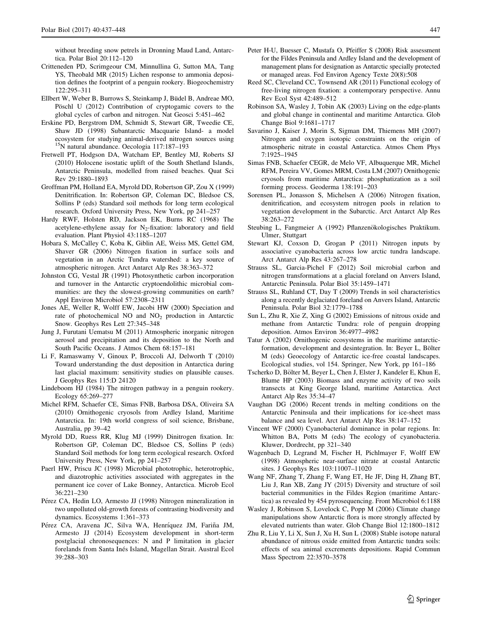<span id="page-10-0"></span>without breeding snow petrels in Dronning Maud Land, Antarctica. Polar Biol 20:112–120

- Critteneden PD, Scrimgeour CM, Minnullina G, Sutton MA, Tang YS, Theobald MR (2015) Lichen response to ammonia deposition defines the footprint of a penguin rookery. Biogeochemistry 122:295–311
- Ellbert W, Weber B, Burrows S, Steinkamp J. Büdel B. Andreae MO. Pöschl U (2012) Contribution of cryptogamic covers to the global cycles of carbon and nitrogen. Nat Geosci 5:451–462
- Erskine PD, Bergstrom DM, Schmidt S, Stewart GR, Tweedie CE, Shaw JD (1998) Subantarctic Macquarie Island- a model ecosystem for studying animal-derived nitrogen sources using 15N natural abundance. Oecologia 117:187–193
- Fretwell PT, Hodgson DA, Watcham EP, Bentley MJ, Roberts SJ (2010) Holocene isostatic uplift of the South Shetland Islands, Antarctic Peninsula, modelled from raised beaches. Quat Sci Rev 29:1880–1893
- Groffman PM, Holland EA, Myrold DD, Robertson GP, Zou X (1999) Denitrification. In: Robertson GP, Coleman DC, Bledsoe CS, Sollins P (eds) Standard soil methods for long term ecological research. Oxford University Press, New York, pp 241–257
- Hardy RWF, Holsten RD, Jackson EK, Burns RC (1968) The acetylene-ethylene assay for  $N_2$ -fixation: laboratory and field evaluation. Plant Physiol 43:1185–1207
- Hobara S, McCalley C, Koba K, Giblin AE, Weiss MS, Gettel GM, Shaver GR (2006) Nitrogen fixation in surface soils and vegetation in an Arctic Tundra watershed: a key source of atmospheric nitrogen. Arct Antarct Alp Res 38:363–372
- Johnston CG, Vestal JR (1991) Photosynthetic carbon incorporation and turnover in the Antarctic cryptoendolithic microbial communities: are they the slowest-growing communities on earth? Appl Environ Microbiol 57:2308–2311
- Jones AE, Weller R, Wolff EW, Jacobi HW (2000) Speciation and rate of photochemical NO and NO2 production in Antarctic Snow. Geophys Res Lett 27:345–348
- Jung J, Furutani Uematsu M (2011) Atmospheric inorganic nitrogen aerosol and precipitation and its deposition to the North and South Pacific Oceans. J Atmos Chem 68:157–181
- Li F, Ramaswamy V, Ginoux P, Broccoli AJ, Delworth T (2010) Toward understanding the dust deposition in Antarctica during last glacial maximum: sensitivity studies on plausible causes. J Geophys Res 115:D 24120
- Lindeboom HJ (1984) The nitrogen pathway in a penguin rookery. Ecology 65:269–277
- Michel RFM, Schaefer CE, Simas FNB, Barbosa DSA, Oliveira SA (2010) Ornithogenic cryosols from Ardley Island, Maritime Antarctica. In: 19th world congress of soil science, Brisbane, Australia, pp 39–42
- Myrold DD, Ruess RR, Klug MJ (1999) Dinitrogen fixation. In: Robertson GP, Coleman DC, Bledsoe CS, Sollins P (eds) Standard Soil methods for long term ecological research. Oxford University Press, New York, pp 241–257
- Paerl HW, Priscu JC (1998) Microbial phototrophic, heterotrophic, and diazotrophic activities associated with aggregates in the permanent ice cover of Lake Bonney, Antarctica. Microb Ecol 36:221–230
- Pérez CA, Hedin LO, Armesto JJ (1998) Nitrogen mineralization in two unpolluted old-growth forests of contrasting biodiversity and dynamics. Ecosystems 1:361–373
- Pérez CA, Aravena JC, Silva WA, Henríquez JM, Fariña JM, Armesto JJ (2014) Ecosystem development in short-term postglacial chronosequences: N and P limitation in glacier forelands from Santa Inés Island, Magellan Strait. Austral Ecol 39:288–303
- Peter H-U, Buesser C, Mustafa O, Pfeiffer S (2008) Risk assessment for the Fildes Peninsula and Ardley Island and the development of management plans for designation as Antarctic specially protected or managed areas. Fed Environ Agency Texte 20(8):508
- Reed SC, Cleveland CC, Townsend AR (2011) Functional ecology of free-living nitrogen fixation: a contemporary perspective. Annu Rev Ecol Syst 42:489–512
- Robinson SA, Wasley J, Tobin AK (2003) Living on the edge-plants and global change in continental and maritime Antarctica. Glob Change Biol 9:1681–1717
- Savarino J, Kaiser J, Morin S, Sigman DM, Thiemens MH (2007) Nitrogen and oxygen isotopic constraints on the origin of atmospheric nitrate in coastal Antarctica. Atmos Chem Phys 7:1925–1945
- Simas FNB, Schaefer CEGR, de Melo VF, Albuquerque MR, Michel RFM, Pereira VV, Gomes MRM, Costa LM (2007) Ornithogenic cryosols from maritime Antarctica: phosphatization as a soil forming process. Geoderma 138:191–203
- Sorensen PL, Jonasson S, Michelsen A (2006) Nitrogen fixation, denitrification, and ecosystem nitrogen pools in relation to vegetation development in the Subarctic. Arct Antarct Alp Res 38:263–272
- Steubing L, Fangmeier A (1992) Pflanzenökologisches Praktikum. Ulmer, Stuttgart
- Stewart KJ, Coxson D, Grogan P (2011) Nitrogen inputs by associative cyanobacteria across low arctic tundra landscape. Arct Antarct Alp Res 43:267–278
- Strauss SL, Garcia-Pichel F (2012) Soil microbial carbon and nitrogen transformations at a glacial foreland on Anvers Island, Antarctic Peninsula. Polar Biol 35:1459–1471
- Strauss SL, Ruhland CT, Day T (2009) Trends in soil characteristics along a recently deglaciated foreland on Anvers Island, Antarctic Peninsula. Polar Biol 32:1779–1788
- Sun L, Zhu R, Xie Z, Xing G (2002) Emissions of nitrous oxide and methane from Antarctic Tundra: role of penguin dropping deposition. Atmos Environ 36:4977–4982
- Tatur A (2002) Ornithogenic ecosystems in the maritime antarcticformation, development and desintegration. In: Beyer L, Bölter M (eds) Geoecology of Antarctic ice-free coastal landscapes. Ecological studies, vol 154. Springer, New York, pp 161–186
- Tscherko D, Bölter M, Beyer L, Chen J, Elster J, Kandeler E, Khun E, Blume HP (2003) Biomass and enzyme activity of two soils transects at King George Island, maritime Antarctica. Arct Antarct Alp Res 35:34–47
- Vaughan DG (2006) Recent trends in melting conditions on the Antarctic Peninsula and their implications for ice-sheet mass balance and sea level. Arct Antarct Alp Res 38:147–152
- Vincent WF (2000) Cyanobacterial dominance in polar regions. In: Whitton BA, Potts M (eds) The ecology of cyanobacteria. Kluwer, Dordrecht, pp 321–340
- Wagenbach D, Legrand M, Fischer H, Pichlmayer F, Wolff EW (1998) Atmospheric near-surface nitrate at coastal Antarctic sites. J Geophys Res 103:11007–11020
- Wang NF, Zhang T, Zhang F, Wang ET, He JF, Ding H, Zhang BT, Liu J, Ran XB, Zang JY (2015) Diversity and structure of soil bacterial communities in the Fildes Region (maritime Antarctica) as revealed by 454 pyrosequencing. Front Microbiol 6:1188
- Wasley J, Robinson S, Lovelock C, Popp M (2006) Climate change manipulations show Antarctic flora is more strongly affected by elevated nutrients than water. Glob Change Biol 12:1800–1812
- Zhu R, Liu Y, Li X, Sun J, Xu H, Sun L (2008) Stable isotope natural abundance of nitrous oxide emitted from Antarctic tundra soils: effects of sea animal excrements depositions. Rapid Commun Mass Spectrom 22:3570–3578